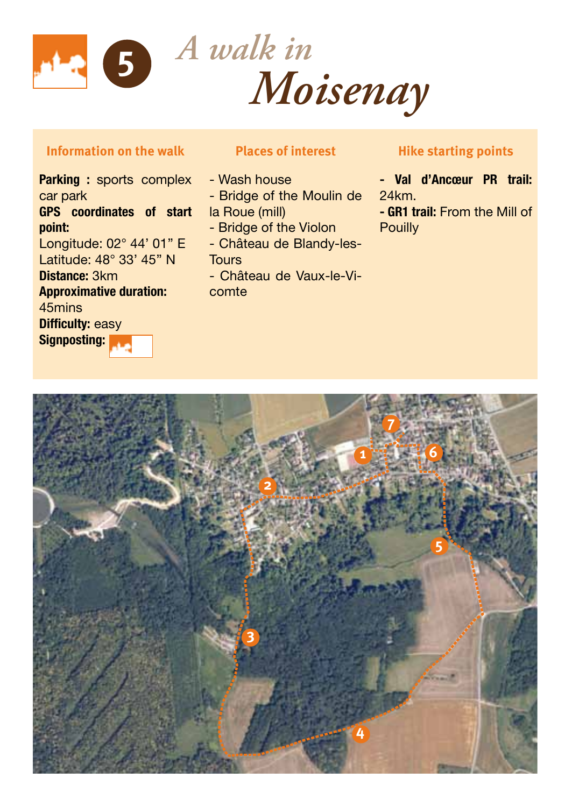

## **Information on the walk**

Parking : sports complex car park GPS coordinates of start point: Longitude: 02° 44' 01'' E Latitude: 48° 33' 45'' N Distance: 3km Approximative duration: 45mins Difficulty: easy Signposting:

## **Places of interest**

- Wash house

- Bridge of the Moulin de
- la Roue (mill)
- Bridge of the Violon
- Château de Blandy-les-**Tours**
- Château de Vaux-le-Vicomte

## **Hike starting points**

- Val d'Ancœur PR trail: 24km.

- GR1 trail: From the Mill of **Pouilly**